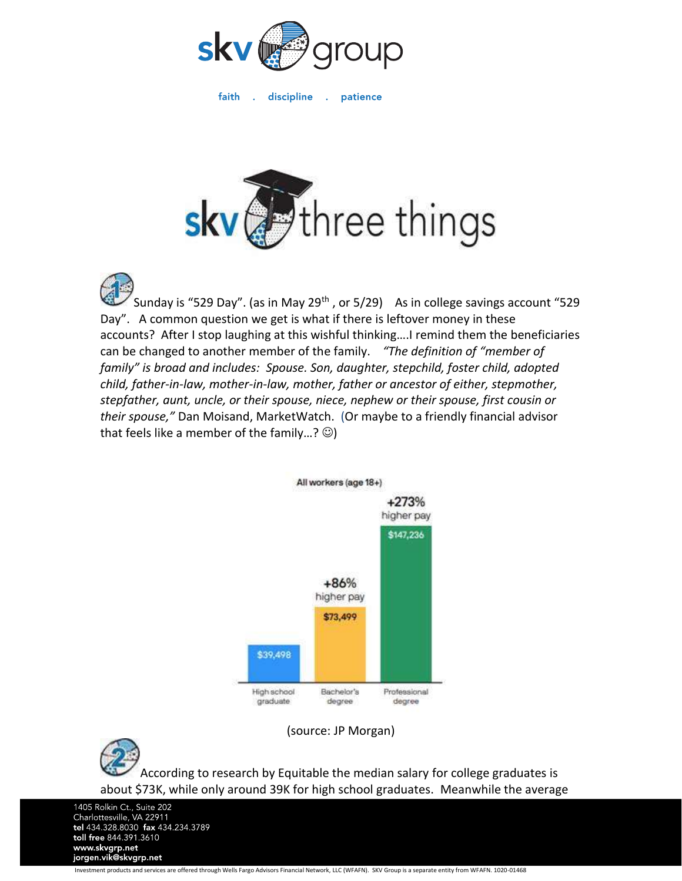

faith discipline a patience



Sunday is "529 Day". (as in May 29<sup>th</sup>, or 5/29) As in college savings account "529 Day". A common question we get is what if there is leftover money in these accounts? After I stop laughing at this wishful thinking….I remind them the beneficiaries can be changed to another member of the family. *"The definition of "member of family" is broad and includes: Spouse. Son, daughter, stepchild, foster child, adopted child, father-in-law, mother-in-law, mother, father or ancestor of either, stepmother, stepfather, aunt, uncle, or their spouse, niece, nephew or their spouse, first cousin or their spouse,"* Dan Moisand, MarketWatch. (Or maybe to a friendly financial advisor that feels like a member of the family...?  $\circledcirc$ )



(source: JP Morgan)



According to research by Equitable the median salary for college graduates is about \$73K, while only around 39K for high school graduates. Meanwhile the average

1405 Rolkin Ct., Suite 202 Charlottesville, VA 22911<br>tel 434.328.8030 fax 434.234.3789 toll free 844.391.3610 www.skvgrp.net jorgen.vik@skvgrp.net

Investment products and services are offered through Wells Fargo Advisors Financial Network, LLC (WFAFN). SKV Group is a separate entity from WFAFN. 1020-01468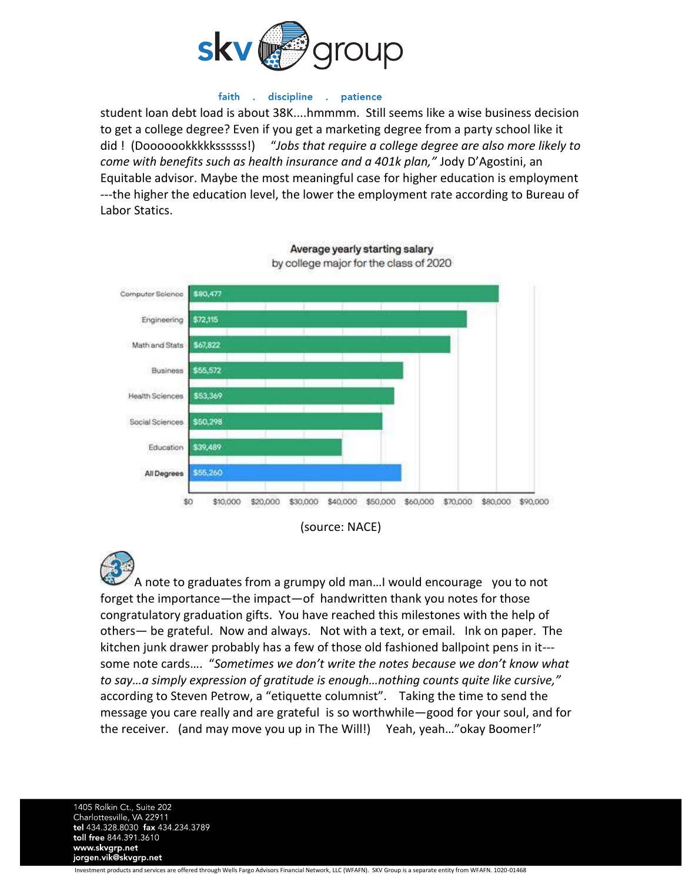

## faith discipline . patience

student loan debt load is about 38K....hmmmm. Still seems like a wise business decision to get a college degree? Even if you get a marketing degree from a party school like it did ! (Dooooookkkkkssssss!) "*Jobs that require a college degree are also more likely to come with benefits such as health insurance and a 401k plan,"* Jody D'Agostini, an Equitable advisor. Maybe the most meaningful case for higher education is employment ---the higher the education level, the lower the employment rate according to Bureau of Labor Statics.



Average yearly starting salary by college major for the class of 2020

A note to graduates from a grumpy old man…I would encourage you to not forget the importance—the impact—of handwritten thank you notes for those congratulatory graduation gifts. You have reached this milestones with the help of others— be grateful. Now and always. Not with a text, or email. Ink on paper. The kitchen junk drawer probably has a few of those old fashioned ballpoint pens in it-- some note cards…. "*Sometimes we don't write the notes because we don't know what to say…a simply expression of gratitude is enough…nothing counts quite like cursive,"* according to Steven Petrow, a "etiquette columnist". Taking the time to send the message you care really and are grateful is so worthwhile—good for your soul, and for the receiver. (and may move you up in The Will!) Yeah, yeah…"okay Boomer!"

1405 Rolkin Ct., Suite 202 Charlottesville, VA 22911<br>tel 434.328.8030 fax 434.234.3789 toll free 844.391.3610 www.skvgrp.net jorgen.vik@skvgrp.net

Investment products and services are offered through Wells Fargo Advisors Financial Network, LLC (WFAFN). SKV Group is a separate entity from WFAFN. 1020-01468

<sup>(</sup>source: NACE)